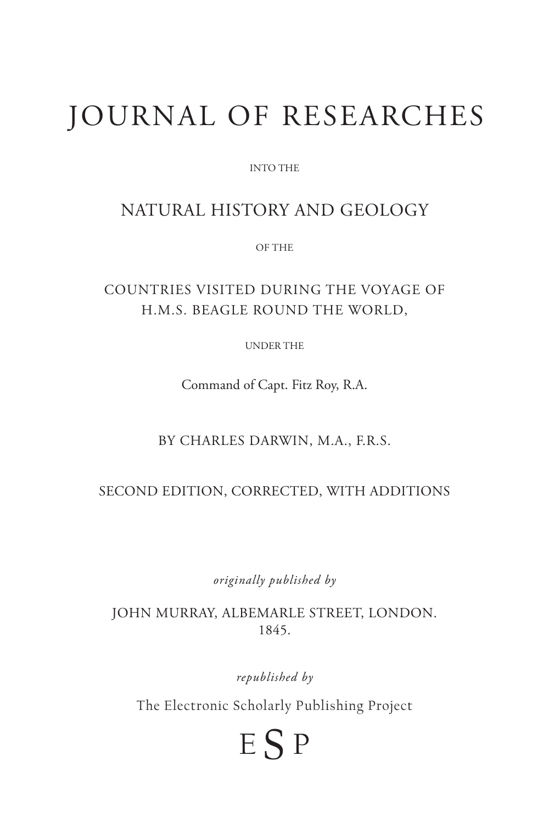# JOURNAL OF RESEARCHES

INTO THE

# NATURAL HISTORY AND GEOLOGY

OF THE

# COUNTRIES VISITED DURING THE VOYAGE OF H.M.S. BEAGLE ROUND THE WORLD,

UNDER THE

Command of Capt. Fitz Roy, R.A.

BY CHARLES DARWIN, M.A., F.R.S.

#### SECOND EDITION, CORRECTED, WITH ADDITIONS

*originally published by*

JOHN MURRAY, ALBEMARLE STREET, LONDON. 1845.

*republished by* 

The Electronic Scholarly Publishing Project

# <sup>E</sup> S <sup>P</sup>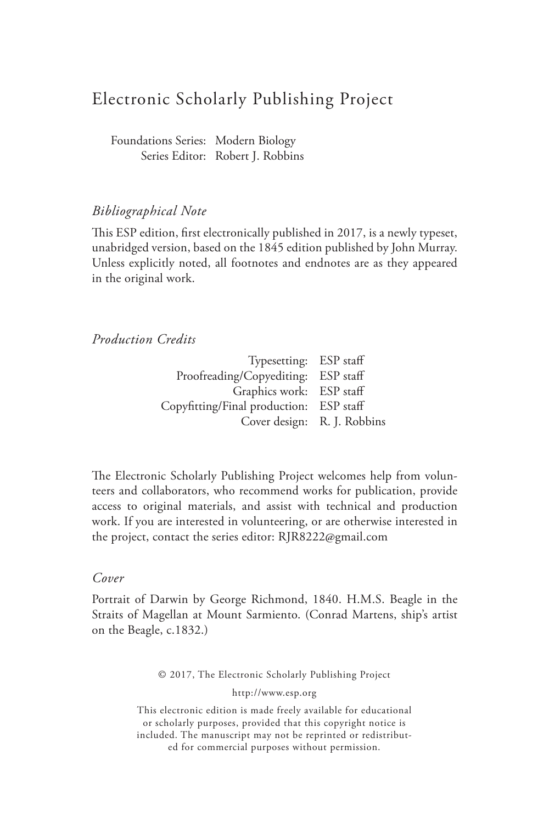# Electronic Scholarly Publishing Project

Foundations Series: Modern Biology Series Editor: Robert J. Robbins

#### *Bibliographical Note*

This ESP edition, first electronically published in 2017, is a newly typeset, unabridged version, based on the 1845 edition published by John Murray. Unless explicitly noted, all footnotes and endnotes are as they appeared in the original work.

#### *Production Credits*

| Typesetting: ESP staff                  |  |
|-----------------------------------------|--|
| Proofreading/Copyediting: ESP staff     |  |
| Graphics work: ESP staff                |  |
| Copyfitting/Final production: ESP staff |  |
| Cover design: R. J. Robbins             |  |

The Electronic Scholarly Publishing Project welcomes help from volunteers and collaborators, who recommend works for publication, provide access to original materials, and assist with technical and production work. If you are interested in volunteering, or are otherwise interested in the project, contact the series editor: RJR8222@gmail.com

#### *Cover*

Portrait of Darwin by George Richmond, 1840. H.M.S. Beagle in the Straits of Magellan at Mount Sarmiento. (Conrad Martens, ship's artist on the Beagle, c.1832.)

© 2017, The Electronic Scholarly Publishing Project

http://www.esp.org

This electronic edition is made freely available for educational or scholarly purposes, provided that this copyright notice is included. The manuscript may not be reprinted or redistributed for commercial purposes without permission.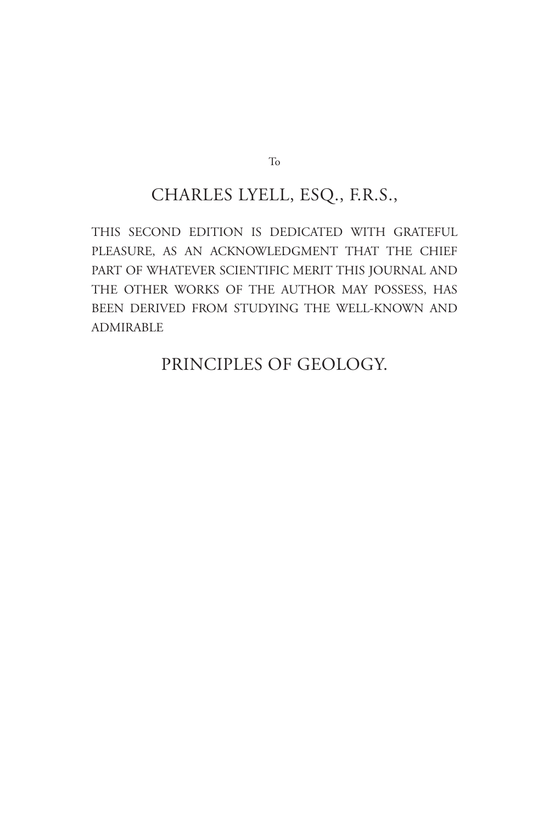# CHARLES LYELL, ESQ., F.R.S.,

THIS SECOND EDITION IS DEDICATED WITH GRATEFUL PLEASURE, AS AN ACKNOWLEDGMENT THAT THE CHIEF PART OF WHATEVER SCIENTIFIC MERIT THIS JOURNAL AND THE OTHER WORKS OF THE AUTHOR MAY POSSESS, HAS BEEN DERIVED FROM STUDYING THE WELL-KNOWN AND ADMIRABLE

# PRINCIPLES OF GEOLOGY.

To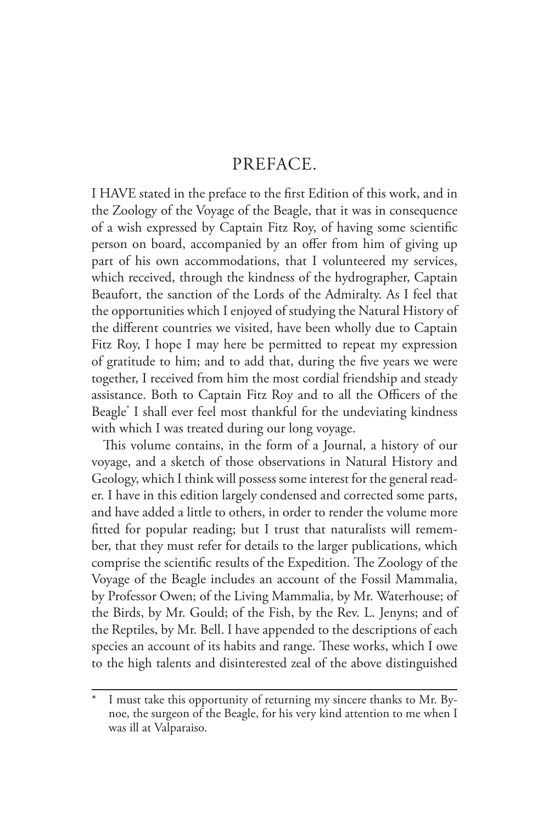# PREFACE.

I HAVE stated in the preface to the first Edition of this work, and in the Zoology of the Voyage of the Beagle, that it was in consequence of a wish expressed by Captain Fitz Roy, of having some scientific person on board, accompanied by an offer from him of giving up part of his own accommodations, that I volunteered my services, which received, through the kindness of the hydrographer, Captain Beaufort, the sanction of the Lords of the Admiralty. As I feel that the opportunities which I enjoyed of studying the Natural History of the different countries we visited, have been wholly due to Captain Fitz Roy, I hope I may here be permitted to repeat my expression of gratitude to him; and to add that, during the five years we were together, I received from him the most cordial friendship and steady assistance. Both to Captain Fitz Roy and to all the Officers of the Beagle\* I shall ever feel most thankful for the undeviating kindness with which I was treated during our long voyage.

This volume contains, in the form of a Journal, a history of our voyage, and a sketch of those observations in Natural History and Geology, which I think will possess some interest for the general reader. I have in this edition largely condensed and corrected some parts, and have added a little to others, in order to render the volume more fitted for popular reading; but I trust that naturalists will remember, that they must refer for details to the larger publications, which comprise the scientific results of the Expedition. The Zoology of the Voyage of the Beagle includes an account of the Fossil Mammalia, by Professor Owen; of the Living Mammalia, by Mr. Waterhouse; of the Birds, by Mr. Gould; of the Fish, by the Rev. L. Jenyns; and of the Reptiles, by Mr. Bell. I have appended to the descriptions of each species an account of its habits and range. These works, which I owe to the high talents and disinterested zeal of the above distinguished

I must take this opportunity of returning my sincere thanks to Mr. Bynoe, the surgeon of the Beagle, for his very kind attention to me when I was ill at Valparaiso.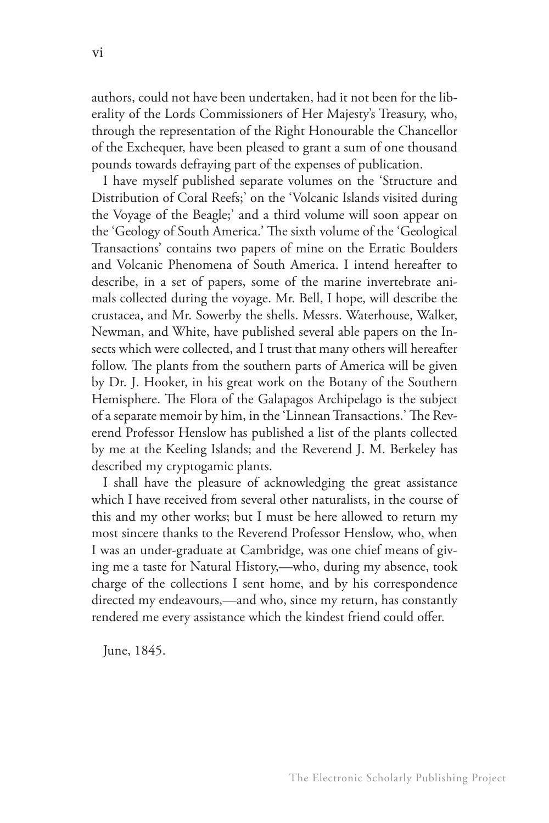authors, could not have been undertaken, had it not been for the liberality of the Lords Commissioners of Her Majesty's Treasury, who, through the representation of the Right Honourable the Chancellor of the Exchequer, have been pleased to grant a sum of one thousand pounds towards defraying part of the expenses of publication.

I have myself published separate volumes on the 'Structure and Distribution of Coral Reefs;' on the 'Volcanic Islands visited during the Voyage of the Beagle;' and a third volume will soon appear on the 'Geology of South America.' The sixth volume of the 'Geological Transactions' contains two papers of mine on the Erratic Boulders and Volcanic Phenomena of South America. I intend hereafter to describe, in a set of papers, some of the marine invertebrate animals collected during the voyage. Mr. Bell, I hope, will describe the crustacea, and Mr. Sowerby the shells. Messrs. Waterhouse, Walker, Newman, and White, have published several able papers on the Insects which were collected, and I trust that many others will hereafter follow. The plants from the southern parts of America will be given by Dr. J. Hooker, in his great work on the Botany of the Southern Hemisphere. The Flora of the Galapagos Archipelago is the subject of a separate memoir by him, in the 'Linnean Transactions.' The Reverend Professor Henslow has published a list of the plants collected by me at the Keeling Islands; and the Reverend J. M. Berkeley has described my cryptogamic plants.

I shall have the pleasure of acknowledging the great assistance which I have received from several other naturalists, in the course of this and my other works; but I must be here allowed to return my most sincere thanks to the Reverend Professor Henslow, who, when I was an under-graduate at Cambridge, was one chief means of giving me a taste for Natural History,—who, during my absence, took charge of the collections I sent home, and by his correspondence directed my endeavours,—and who, since my return, has constantly rendered me every assistance which the kindest friend could offer.

June, 1845.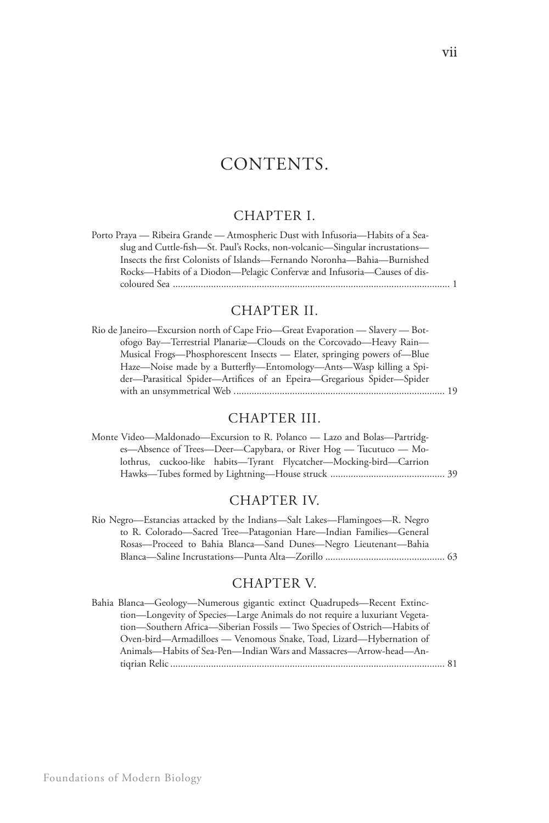# CONTENTS.

### CHAPTER I.

| Porto Praya — Ribeira Grande — Atmospheric Dust with Infusoria—Habits of a Sea- |
|---------------------------------------------------------------------------------|
| slug and Cuttle-fish—St. Paul's Rocks, non-volcanic—Singular incrustations—     |
| Insects the first Colonists of Islands—Fernando Noronha—Bahia—Burnished         |
| Rocks—Habits of a Diodon—Pelagic Confervæ and Infusoria—Causes of dis-          |
|                                                                                 |

# CHAPTER II.

| Rio de Janeiro—Excursion north of Cape Frio—Great Evaporation — Slavery — Bot- |  |
|--------------------------------------------------------------------------------|--|
| ofogo Bay—Terrestrial Planariæ—Clouds on the Corcovado—Heavy Rain—             |  |
| Musical Frogs—Phosphorescent Insects — Elater, springing powers of—Blue        |  |
| Haze-Noise made by a Butterfly-Entomology-Ants-Wasp killing a Spi-             |  |
| der-Parasitical Spider-Artifices of an Epeira-Gregarious Spider-Spider         |  |
|                                                                                |  |

| CHAPTER III.                                                                                                                                 |
|----------------------------------------------------------------------------------------------------------------------------------------------|
| Monte Video—Maldonado—Excursion to R. Polanco — Lazo and Bolas—Partridg-<br>es—Absence of Trees—Deer—Capybara, or River Hog — Tucutuco — Mo- |
| lothrus, cuckoo-like habits—Tyrant Flycatcher—Mocking-bird—Carrion                                                                           |
|                                                                                                                                              |

# CHAPTER IV.

| Rio Negro—Estancias attacked by the Indians—Salt Lakes—Flamingoes—R. Negro |  |
|----------------------------------------------------------------------------|--|
| to R. Colorado—Sacred Tree—Patagonian Hare—Indian Families—General         |  |
| Rosas—Proceed to Bahia Blanca—Sand Dunes—Negro Lieutenant—Bahia            |  |
|                                                                            |  |

### CHAPTER V.

| Bahia Blanca—Geology—Numerous gigantic extinct Quadrupeds—Recent Extinc-   |  |
|----------------------------------------------------------------------------|--|
| tion—Longevity of Species—Large Animals do not require a luxuriant Vegeta- |  |
| tion—Southern Africa—Siberian Fossils — Two Species of Ostrich—Habits of   |  |
| Oven-bird—Armadilloes — Venomous Snake, Toad, Lizard—Hybernation of        |  |
| Animals—Habits of Sea-Pen—Indian Wars and Massacres—Arrow-head—An-         |  |
|                                                                            |  |
|                                                                            |  |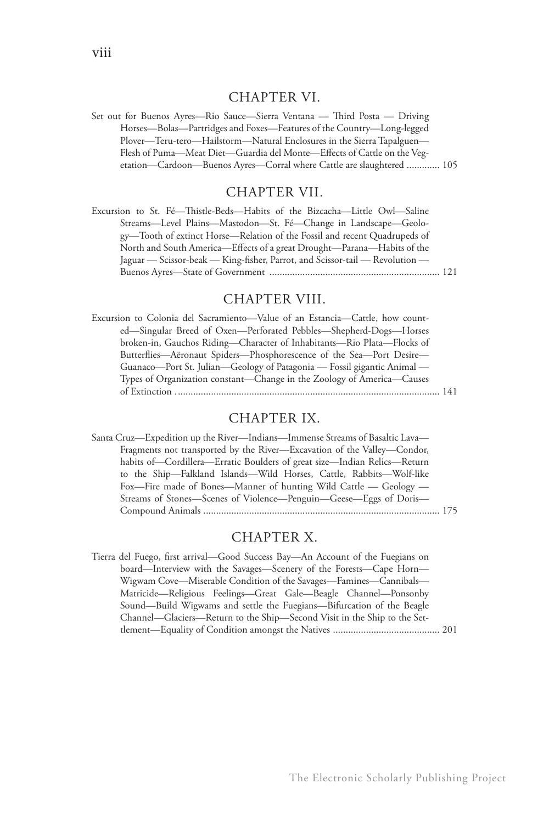#### CHAPTER VI.

Set out for Buenos Ayres—Rio Sauce—Sierra Ventana — Third Posta — Driving Horses—Bolas—Partridges and Foxes—Features of the Country—Long-legged Plover—Teru-tero—Hailstorm—Natural Enclosures in the Sierra Tapalguen— Flesh of Puma—Meat Diet—Guardia del Monte—Effects of Cattle on the Vegetation—Cardoon—Buenos Ayres—Corral where Cattle are slaughtered ............. 105

#### CHAPTER VII.

Excursion to St. Fé—Thistle-Beds—Habits of the Bizcacha—Little Owl—Saline Streams—Level Plains—Mastodon—St. Fé—Change in Landscape—Geology—Tooth of extinct Horse—Relation of the Fossil and recent Quadrupeds of North and South America—Effects of a great Drought—Parana—Habits of the Jaguar — Scissor-beak — King-fisher, Parrot, and Scissor-tail — Revolution — Buenos Ayres—State of Government ................................................................... 121

#### CHAPTER VIII.

Excursion to Colonia del Sacramiento—Value of an Estancia—Cattle, how counted—Singular Breed of Oxen—Perforated Pebbles—Shepherd-Dogs—Horses broken-in, Gauchos Riding—Character of Inhabitants—Rio Plata—Flocks of Butterflies—Aëronaut Spiders—Phosphorescence of the Sea—Port Desire— Guanaco—Port St. Julian—Geology of Patagonia — Fossil gigantic Animal — Types of Organization constant—Change in the Zoology of America—Causes of Extinction ........................................................................................................ 141

#### CHAPTER IX.

Santa Cruz—Expedition up the River—Indians—Immense Streams of Basaltic Lava— Fragments not transported by the River—Excavation of the Valley—Condor, habits of—Cordillera—Erratic Boulders of great size—Indian Relics—Return to the Ship—Falkland Islands—Wild Horses, Cattle, Rabbits—Wolf-like Fox—Fire made of Bones—Manner of hunting Wild Cattle — Geology — Streams of Stones—Scenes of Violence—Penguin—Geese—Eggs of Doris— Compound Animals ............................................................................................. 175

#### CHAPTER X.

Tierra del Fuego, first arrival—Good Success Bay—An Account of the Fuegians on board—Interview with the Savages—Scenery of the Forests—Cape Horn— Wigwam Cove—Miserable Condition of the Savages—Famines—Cannibals— Matricide—Religious Feelings—Great Gale—Beagle Channel—Ponsonby Sound—Build Wigwams and settle the Fuegians—Bifurcation of the Beagle Channel—Glaciers—Return to the Ship—Second Visit in the Ship to the Settlement—Equality of Condition amongst the Natives .......................................... 201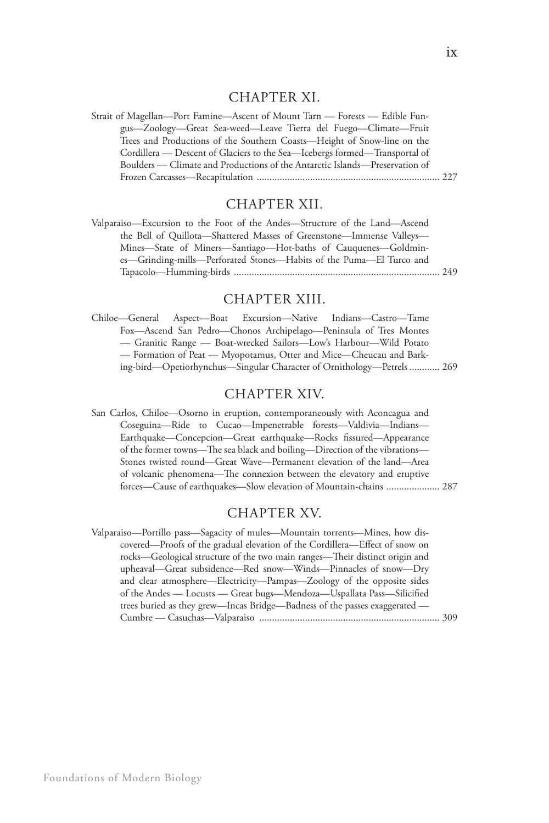#### CHAPTER XI.

Strait of Magellan—Port Famine—Ascent of Mount Tarn — Forests — Edible Fungus—Zoology—Great Sea-weed—Leave Tierra del Fuego—Climate—Fruit Trees and Productions of the Southern Coasts—Height of Snow-line on the Cordillera — Descent of Glaciers to the Sea—Icebergs formed—Transportal of Boulders — Climate and Productions of the Antarctic Islands—Preservation of Frozen Carcasses—Recapitulation ........................................................................ 227

#### CHAPTER XII.

| Valparaiso—Excursion to the Foot of the Andes—Structure of the Land—Ascend |  |
|----------------------------------------------------------------------------|--|
| the Bell of Quillota—Shattered Masses of Greenstone—Immense Valleys—       |  |
| Mines—State of Miners—Santiago—Hot-baths of Cauquenes—Goldmin-             |  |
| es—Grinding-mills—Perforated Stones—Habits of the Puma—El Turco and        |  |
|                                                                            |  |

#### CHAPTER XIII.

Chiloe—General Aspect—Boat Excursion—Native Indians—Castro—Tame Fox—Ascend San Pedro—Chonos Archipelago—Peninsula of Tres Montes — Granitic Range — Boat-wrecked Sailors—Low's Harbour—Wild Potato — Formation of Peat — Myopotamus, Otter and Mice—Cheucau and Barking-bird—Opetiorhynchus—Singular Character of Ornithology—Petrels ............ 269

#### CHAPTER XIV.

San Carlos, Chiloe—Osorno in eruption, contemporaneously with Aconcagua and Coseguina—Ride to Cucao—Impenetrable forests—Valdivia—Indians— Earthquake—Concepcion—Great earthquake—Rocks fissured—Appearance of the former towns—The sea black and boiling—Direction of the vibrations— Stones twisted round—Great Wave—Permanent elevation of the land—Area of volcanic phenomena—The connexion between the elevatory and eruptive forces—Cause of earthquakes—Slow elevation of Mountain-chains ..................... 287

#### CHAPTER XV.

Valparaiso—Portillo pass—Sagacity of mules—Mountain torrents—Mines, how discovered—Proofs of the gradual elevation of the Cordillera—Effect of snow on rocks—Geological structure of the two main ranges—Their distinct origin and upheaval—Great subsidence—Red snow—Winds—Pinnacles of snow—Dry and clear atmosphere—Electricity—Pampas—Zoology of the opposite sides of the Andes — Locusts — Great bugs—Mendoza—Uspallata Pass—Silicified trees buried as they grew—Incas Bridge—Badness of the passes exaggerated — Cumbre — Casuchas—Valparaiso ....................................................................... 309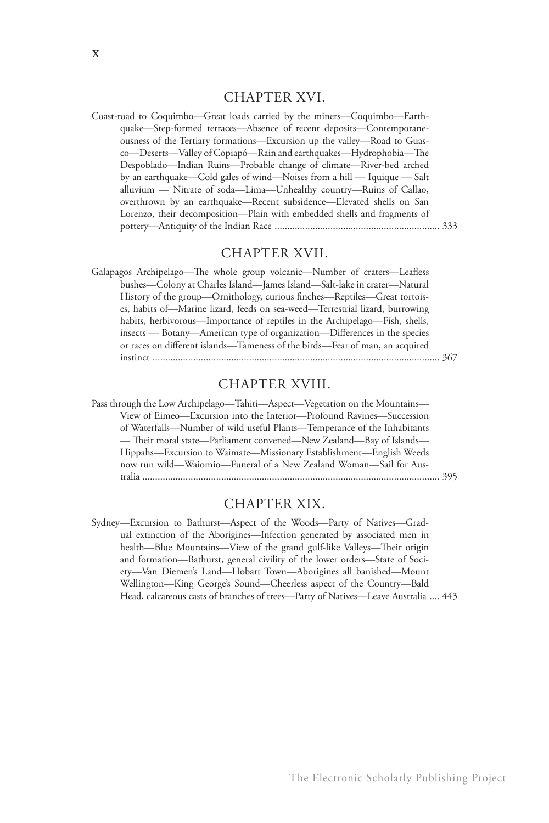#### CHAPTER XVI.

Coast-road to Coquimbo—Great loads carried by the miners—Coquimbo—Earthquake—Step-formed terraces—Absence of recent deposits—Contemporaneousness of the Tertiary formations—Excursion up the valley—Road to Guasco—Deserts—Valley of Copiapó—Rain and earthquakes—Hydrophobia—The Despoblado—Indian Ruins—Probable change of climate—River-bed arched by an earthquake—Cold gales of wind—Noises from a hill — Iquique — Salt alluvium — Nitrate of soda—Lima—Unhealthy country—Ruins of Callao, overthrown by an earthquake—Recent subsidence—Elevated shells on San Lorenzo, their decomposition—Plain with embedded shells and fragments of pottery—Antiquity of the Indian Race ................................................................. 333

#### CHAPTER XVII.

Galapagos Archipelago—The whole group volcanic—Number of craters—Leafless bushes—Colony at Charles Island—James Island—Salt-lake in crater—Natural History of the group—Ornithology, curious finches—Reptiles—Great tortoises, habits of—Marine lizard, feeds on sea-weed—Terrestrial lizard, burrowing habits, herbivorous—Importance of reptiles in the Archipelago—Fish, shells, insects — Botany—American type of organization—Differences in the species or races on different islands—Tameness of the birds—Fear of man, an acquired instinct ................................................................................................................. 367

#### CHAPTER XVIII.

Pass through the Low Archipelago—Tahiti—Aspect—Vegetation on the Mountains— View of Eimeo—Excursion into the Interior—Profound Ravines—Succession of Waterfalls—Number of wild useful Plants—Temperance of the Inhabitants — Their moral state—Parliament convened—New Zealand—Bay of Islands— Hippahs—Excursion to Waimate—Missionary Establishment—English Weeds now run wild—Waiomio—Funeral of a New Zealand Woman—Sail for Australia ..................................................................................................................... 395

#### CHAPTER XIX.

Sydney—Excursion to Bathurst—Aspect of the Woods—Party of Natives—Gradual extinction of the Aborigines—Infection generated by associated men in health—Blue Mountains—View of the grand gulf-like Valleys—Their origin and formation—Bathurst, general civility of the lower orders—State of Society—Van Diemen's Land—Hobart Town—Aborigines all banished—Mount Wellington—King George's Sound—Cheerless aspect of the Country—Bald Head, calcareous casts of branches of trees—Party of Natives—Leave Australia .... 443